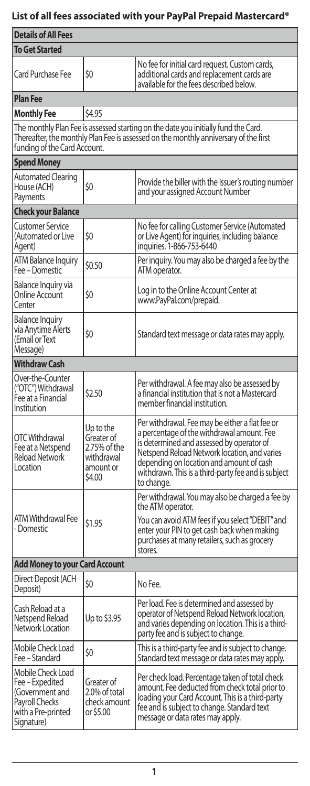# **List of all fees associated with your PayPal Prepaid Mastercard®**

| <b>Details of All Fees</b>                                                                                                                                                                                 |                                                                              |                                                                                                                                                                                                                                                                                                             |  |  |  |
|------------------------------------------------------------------------------------------------------------------------------------------------------------------------------------------------------------|------------------------------------------------------------------------------|-------------------------------------------------------------------------------------------------------------------------------------------------------------------------------------------------------------------------------------------------------------------------------------------------------------|--|--|--|
| <b>To Get Started</b>                                                                                                                                                                                      |                                                                              |                                                                                                                                                                                                                                                                                                             |  |  |  |
| <b>Card Purchase Fee</b>                                                                                                                                                                                   | \$0                                                                          | No fee for initial card request. Custom cards,<br>additional cards and replacement cards are<br>available for the fees described below.                                                                                                                                                                     |  |  |  |
| <b>Plan Fee</b>                                                                                                                                                                                            |                                                                              |                                                                                                                                                                                                                                                                                                             |  |  |  |
| <b>Monthly Fee</b>                                                                                                                                                                                         | \$4.95                                                                       |                                                                                                                                                                                                                                                                                                             |  |  |  |
| The monthly Plan Fee is assessed starting on the date you initially fund the Card.<br>Thereafter, the monthly Plan Fee is assessed on the monthly anniversary of the first<br>funding of the Card Account. |                                                                              |                                                                                                                                                                                                                                                                                                             |  |  |  |
| <b>Spend Money</b>                                                                                                                                                                                         |                                                                              |                                                                                                                                                                                                                                                                                                             |  |  |  |
| Automated Clearing<br>House (ACH)<br>Payments                                                                                                                                                              | \$0                                                                          | Provide the biller with the Issuer's routing number<br>and your assigned Account Number                                                                                                                                                                                                                     |  |  |  |
| <b>Check your Balance</b>                                                                                                                                                                                  |                                                                              |                                                                                                                                                                                                                                                                                                             |  |  |  |
| Customer Service<br>(Automated or Live<br>Agent)                                                                                                                                                           | \$0                                                                          | No fee for calling Customer Service (Automated<br>or Live Agent) for inquiries, including balance<br>inquiries. 1-866-753-6440                                                                                                                                                                              |  |  |  |
| ATM Balance Inquiry<br>Fee - Domestic                                                                                                                                                                      | \$0.50                                                                       | Per inquiry. You may also be charged a fee by the<br>ATM operator.                                                                                                                                                                                                                                          |  |  |  |
| Balance Inquiry via<br><b>Online Account</b><br>Center                                                                                                                                                     | \$0                                                                          | Log in to the Online Account Center at<br>www.PayPal.com/prepaid.                                                                                                                                                                                                                                           |  |  |  |
| <b>Balance Inquiry</b><br>via Anytime Alerts<br>(Email or Text<br>Message)                                                                                                                                 | \$0                                                                          | Standard text message or data rates may apply.                                                                                                                                                                                                                                                              |  |  |  |
| <b>Withdraw Cash</b>                                                                                                                                                                                       |                                                                              |                                                                                                                                                                                                                                                                                                             |  |  |  |
| Over-the-Counter<br>("OTC") Withdrawal<br>Fee at a Financial<br>Institution                                                                                                                                | \$2.50                                                                       | Per withdrawal. A fee may also be assessed by<br>a financial institution that is not a Mastercard<br>member financial institution.                                                                                                                                                                          |  |  |  |
| OTC Withdrawal<br>Fee at a Netspend<br><b>Reload Network</b><br>Location                                                                                                                                   | Up to the<br>Greater of<br>2.75% of the<br>withdrawal<br>amount or<br>\$4.00 | Per withdrawal. Fee may be either a flat fee or<br>a percentage of the withdrawal amount. Fee<br>is determined and assessed by operator of<br>Netspend Reload Network location, and varies<br>depending on location and amount of cash<br>withdrawn. This is a third-party fee and is subject<br>to change. |  |  |  |
| <b>ATM Withdrawal Fee</b><br>- Domestic                                                                                                                                                                    | \$1.95                                                                       | Per withdrawal. You may also be charged a fee by<br>the ATM operator.<br>You can avoid ATM fees if you select "DEBIT" and<br>enter your PIN to get cash back when making<br>purchases at many retailers, such as grocery                                                                                    |  |  |  |
|                                                                                                                                                                                                            |                                                                              | stores.                                                                                                                                                                                                                                                                                                     |  |  |  |
| <b>Add Money to your Card Account</b>                                                                                                                                                                      |                                                                              |                                                                                                                                                                                                                                                                                                             |  |  |  |
| Direct Deposit (ACH<br>Deposit)                                                                                                                                                                            | \$0                                                                          | No Fee.                                                                                                                                                                                                                                                                                                     |  |  |  |
| Cash Reload at a<br>Netspend Reload<br>Network Location                                                                                                                                                    | Up to \$3.95                                                                 | Per load. Fee is determined and assessed by<br>operator of Netspend Reload Network location,<br>and varies depending on location. This is a third-<br>party fee and is subject to change.                                                                                                                   |  |  |  |
| Mobile Check Load<br>Fee - Standard                                                                                                                                                                        | \$0                                                                          | This is a third-party fee and is subject to change.<br>Standard text message or data rates may apply.                                                                                                                                                                                                       |  |  |  |
| Mobile Check Load<br>  Fee – Expedited<br>(Government and<br>Payroll Checks<br>with a Pre-printed<br>Signature)                                                                                            | Greater of<br>2.0% of total<br>check amount<br>or \$5.00                     | Per check load. Percentage taken of total check<br>amount. Fee deducted from check total prior to<br>loading your Card Account. This is a third-party<br>fee and is subject to change. Standard text<br>message or data rates may apply.                                                                    |  |  |  |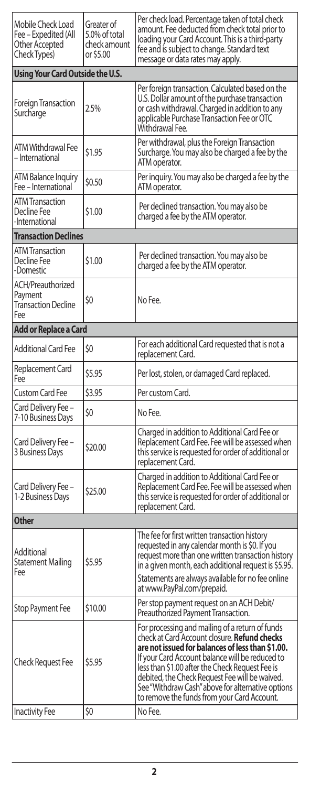| Mobile Check Load<br>Fee – Expedited (All<br>Other Accepted<br>Check Types) | Greater of<br>5.0% of total<br>check amount<br>or \$5.00 | Per check load. Percentage taken of total check<br>amount. Fee deducted from check total prior to<br>loading your Card Account. This is a third-party<br>fee and is subject to change. Standard text<br>message or data rates may apply.                                                                                                                                                                               |
|-----------------------------------------------------------------------------|----------------------------------------------------------|------------------------------------------------------------------------------------------------------------------------------------------------------------------------------------------------------------------------------------------------------------------------------------------------------------------------------------------------------------------------------------------------------------------------|
| Using Your Card Outside the U.S.                                            |                                                          |                                                                                                                                                                                                                                                                                                                                                                                                                        |
| <b>Foreign Transaction</b><br>Surcharge                                     | 2.5%                                                     | Per foreign transaction. Calculated based on the<br>U.S. Dollar amount of the purchase transaction<br>or cash withdrawal. Charged in addition to any<br>applicable Purchase Transaction Fee or OTC<br>Withdrawal Fee.                                                                                                                                                                                                  |
| <b>ATM Withdrawal Fee</b><br>- International                                | \$1.95                                                   | Per withdrawal, plus the Foreign Transaction<br>Surcharge. You may also be charged a fee by the<br>ATM operator.                                                                                                                                                                                                                                                                                                       |
| ATM Balance Inquiry<br>Fee - International                                  | \$0.50                                                   | Per inquiry. You may also be charged a fee by the<br>ATM operator.                                                                                                                                                                                                                                                                                                                                                     |
| <b>ATM Transaction</b><br>Decline Fee<br>-International                     | \$1.00                                                   | Per declined transaction. You may also be<br>charged a fee by the ATM operator.                                                                                                                                                                                                                                                                                                                                        |
| <b>Transaction Declines</b>                                                 |                                                          |                                                                                                                                                                                                                                                                                                                                                                                                                        |
| ATM Transaction<br>Decline Fee<br>-Domestic                                 | \$1.00                                                   | Per declined transaction. You may also be<br>charged a fee by the ATM operator.                                                                                                                                                                                                                                                                                                                                        |
| ACH/Preauthorized<br>Payment<br>Transaction Decline<br>Fee                  | \$0                                                      | No Fee.                                                                                                                                                                                                                                                                                                                                                                                                                |
| Add or Replace a Card                                                       |                                                          |                                                                                                                                                                                                                                                                                                                                                                                                                        |
| <b>Additional Card Fee</b>                                                  | \$0                                                      | For each additional Card requested that is not a<br>replacement Card.                                                                                                                                                                                                                                                                                                                                                  |
| Replacement Card<br>Fee                                                     | \$5.95                                                   | Per lost, stolen, or damaged Card replaced.                                                                                                                                                                                                                                                                                                                                                                            |
| <b>Custom Card Fee</b>                                                      | \$3.95                                                   | Per custom Card.                                                                                                                                                                                                                                                                                                                                                                                                       |
| Card Delivery Fee -<br>7-10 Business Days                                   | \$0                                                      | No Fee.                                                                                                                                                                                                                                                                                                                                                                                                                |
| Card Delivery Fee -<br>3 Business Days                                      | \$20.00                                                  | Charged in addition to Additional Card Fee or<br>Replacement Card Fee. Fee will be assessed when<br>this service is requested for order of additional or<br>replacement Card.                                                                                                                                                                                                                                          |
| Card Delivery Fee –<br>1-2 Business Days                                    | \$25.00                                                  | Charged in addition to Additional Card Fee or<br>Replacement Card Fee. Fee will be assessed when<br>this service is requested for order of additional or<br>replacement Card.                                                                                                                                                                                                                                          |
| <b>Other</b>                                                                |                                                          |                                                                                                                                                                                                                                                                                                                                                                                                                        |
| Additional<br><b>Statement Mailing</b><br>Fee                               | \$5.95                                                   | The fee for first written transaction history<br>requested in any calendar month is \$0. If you<br>request more than one written transaction history<br>in a given month, each additional request is \$5.95.<br>Statements are always available for no fee online<br>at www.PayPal.com/prepaid.                                                                                                                        |
| Stop Payment Fee                                                            | \$10.00                                                  | Per stop payment request on an ACH Debit/<br>Preauthorized Payment Transaction.                                                                                                                                                                                                                                                                                                                                        |
| <b>Check Request Fee</b>                                                    | \$5.95                                                   | For processing and mailing of a return of funds<br>check at Card Account closure. <b>Refund checks</b><br>are not issued for balances of less than \$1.00.<br>If your Card Account balance will be reduced to<br>less than \$1.00 after the Check Request Fee is<br>debited, the Check Request Fee will be waived.<br>See "Withdraw Cash" above for alternative options<br>to remove the funds from your Card Account. |
| <b>Inactivity Fee</b>                                                       | \$0                                                      | No Fee.                                                                                                                                                                                                                                                                                                                                                                                                                |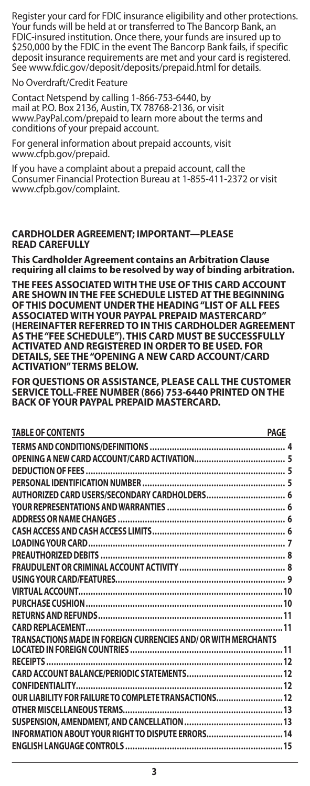Register your card for FDIC insurance eligibility and other protections. Your funds will be held at or transferred to The Bancorp Bank, an FDIC-insured institution. Once there, your funds are insured up to \$250,000 by the FDIC in the event The Bancorp Bank fails, if specific deposit insurance requirements are met and your card is registered. See www.fdic.gov/deposit/deposits/prepaid.html for details.

No Overdraft/Credit Feature

Contact Netspend by calling 1-866-753-6440, by mail at P.O. Box 2136, Austin, TX 78768-2136, or visit www.PayPal.com/prepaid to learn more about the terms and conditions of your prepaid account.

For general information about prepaid accounts, visit www.cfpb.gov/prepaid.

If you have a complaint about a prepaid account, call the Consumer Financial Protection Bureau at 1-855-411-2372 or visit www.cfpb.gov/complaint.

#### **CARDHOLDER AGREEMENT; IMPORTANT—PLEASE READ CAREFULLY**

**This Cardholder Agreement contains an Arbitration Clause requiring all claims to be resolved by way of binding arbitration.**

**THE FEES ASSOCIATED WITH THE USE OF THIS CARD ACCOUNT ARE SHOWN IN THE FEE SCHEDULE LISTED AT THE BEGINNING OF THIS DOCUMENT UNDER THE HEADING "LIST OF ALL FEES ASSOCIATED WITH YOUR PAYPAL PREPAID MASTERCARD" (HEREINAFTER REFERRED TO IN THIS CARDHOLDER AGREEMENT AS THE "FEE SCHEDULE"). THIS CARD MUST BE SUCCESSFULLY ACTIVATED AND REGISTERED IN ORDER TO BE USED. FOR DETAILS, SEE THE "OPENING A NEW CARD ACCOUNT/CARD ACTIVATION" TERMS BELOW.**

**FOR QUESTIONS OR ASSISTANCE, PLEASE CALL THE CUSTOMER SERVICE TOLL-FREE NUMBER (866) 753-6440 PRINTED ON THE BACK OF YOUR PAYPAL PREPAID MASTERCARD.**

| <b>TABLE OF CONTENTS</b><br><u> 1989 - Johann Barn, amerikansk politiker (</u> | <b>PAGE</b> |
|--------------------------------------------------------------------------------|-------------|
|                                                                                |             |
|                                                                                |             |
|                                                                                |             |
|                                                                                |             |
|                                                                                |             |
|                                                                                |             |
|                                                                                |             |
|                                                                                |             |
|                                                                                |             |
|                                                                                |             |
|                                                                                |             |
|                                                                                |             |
|                                                                                |             |
|                                                                                |             |
|                                                                                |             |
|                                                                                |             |
| TRANSACTIONS MADE IN FOREIGN CURRENCIES AND/ OR WITH MERCHANTS                 |             |
|                                                                                |             |
|                                                                                |             |
|                                                                                |             |
|                                                                                |             |
| OUR LIABILITY FOR FAILURE TO COMPLETE TRANSACTIONS 12                          |             |
|                                                                                |             |
|                                                                                |             |
| INFORMATION ABOUT YOUR RIGHT TO DISPUTE ERRORS 14                              |             |
|                                                                                |             |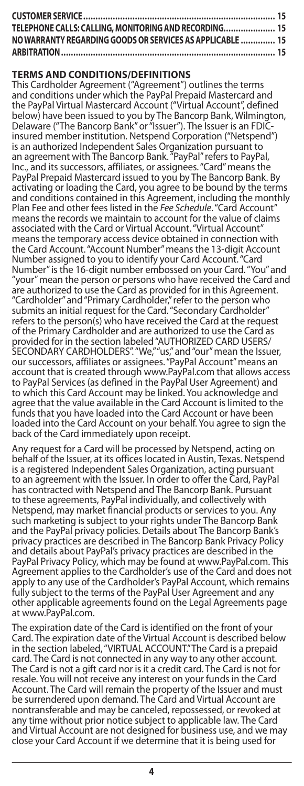| TELEPHONE CALLS: CALLING, MONITORING AND RECORDING 15     |  |
|-----------------------------------------------------------|--|
| NO WARRANTY REGARDING GOODS OR SERVICES AS APPLICABLE  15 |  |
|                                                           |  |

### **TERMS AND CONDITIONS/DEFINITIONS**

This Cardholder Agreement ("Agreement") outlines the terms and conditions under which the PayPal Prepaid Mastercard and the PayPal Virtual Mastercard Account ("Virtual Account", defined below) have been issued to you by The Bancorp Bank, Wilmington, Delaware ("The Bancorp Bank" or "Issuer"). The Issuer is an FDICinsured member institution. Netspend Corporation ("Netspend") is an authorized Independent Sales Organization pursuant to an agreement with The Bancorp Bank. "PayPal" refers to PayPal, Inc., and its successors, affiliates, or assignees. "Card" means the PayPal Prepaid Mastercard issued to you by The Bancorp Bank. By activating or loading the Card, you agree to be bound by the terms and conditions contained in this Agreement, including the monthly Plan Fee and other fees listed in the *Fee Schedule*. "Card Account" means the records we maintain to account for the value of claims associated with the Card or Virtual Account. "Virtual Account" means the temporary access device obtained in connection with the Card Account. "Account Number" means the 13-digit Account Number assigned to you to identify your Card Account. "Card Number" is the 16-digit number embossed on your Card. "You" and "your" mean the person or persons who have received the Card and are authorized to use the Card as provided for in this Agreement. "Cardholder" and "Primary Cardholder," refer to the person who submits an initial request for the Card. "Secondary Cardholder" refers to the person(s) who have received the Card at the request of the Primary Cardholder and are authorized to use the Card as provided for in the section labeled "AUTHORIZED CARD USERS/<br>SECONDARY CARDHOLDERS". "We," "us," and "our" mean the Issuer,<br>our successors, affiliates or assignees. "PayPal Account" means an account that is created through www.PayPal.com that allows access to PayPal Services (as defined in the PayPal User Agreement) and to which this Card Account may be linked. You acknowledge and agree that the value available in the Card Account is limited to the funds that you have loaded into the Card Account or have been loaded into the Card Account on your behalf. You agree to sign the back of the Card immediately upon receipt.

Any request for a Card will be processed by Netspend, acting on behalf of the Issuer, at its offices located in Austin, Texas. Netspend is a registered Independent Sales Organization, acting pursuant to an agreement with the Issuer. In order to offer the Card, PayPal has contracted with Netspend and The Bancorp Bank. Pursuant to these agreements, PayPal individually, and collectively with Netspend, may market financial products or services to you. Any such marketing is subject to your rights under The Bancorp Bank and the PayPal privacy policies. Details about The Bancorp Bank's privacy practices are described in The Bancorp Bank Privacy Policy and details about PayPal's privacy practices are described in the PayPal Privacy Policy, which may be found at www.PayPal.com. This Agreement applies to the Cardholder's use of the Card and does not apply to any use of the Cardholder's PayPal Account, which remains fully subject to the terms of the PayPal User Agreement and any other applicable agreements found on the Legal Agreements page at www.PayPal.com.

The expiration date of the Card is identified on the front of your Card. The expiration date of the Virtual Account is described below in the section labeled, "VIRTUAL ACCOUNT." The Card is a prepaid card. The Card is not connected in any way to any other account. The Card is not a gift card nor is it a credit card. The Card is not for resale. You will not receive any interest on your funds in the Card Account. The Card will remain the property of the Issuer and must be surrendered upon demand. The Card and Virtual Account are nontransferable and may be canceled, repossessed, or revoked at any time without prior notice subject to applicable law. The Card and Virtual Account are not designed for business use, and we may close your Card Account if we determine that it is being used for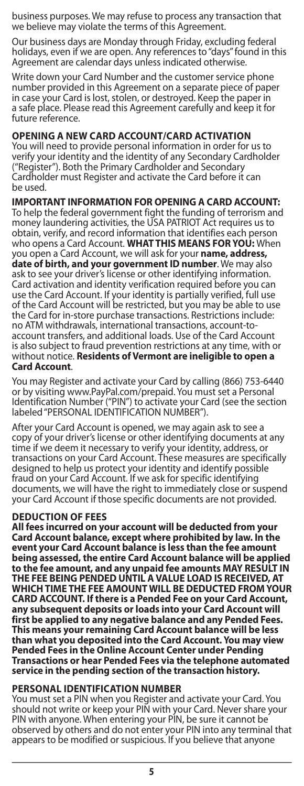business purposes. We may refuse to process any transaction that we believe may violate the terms of this Agreement.

Our business days are Monday through Friday, excluding federal holidays, even if we are open. Any references to "days" found in this Agreement are calendar days unless indicated otherwise.

Write down your Card Number and the customer service phone number provided in this Agreement on a separate piece of paper in case your Card is lost, stolen, or destroyed. Keep the paper in a safe place. Please read this Agreement carefully and keep it for future reference.

### **OPENING A NEW CARD ACCOUNT/CARD ACTIVATION**

You will need to provide personal information in order for us to verify your identity and the identity of any Secondary Cardholder ("Register"). Both the Primary Cardholder and Secondary Cardholder must Register and activate the Card before it can be used.

### **IMPORTANT INFORMATION FOR OPENING A CARD ACCOUNT:**

To help the federal government fight the funding of terrorism and money laundering activities, the USA PATRIOT Act requires us to obtain, verify, and record information that identifies each person who opens a Card Account. **WHAT THIS MEANS FOR YOU:** When you open a Card Account, we will ask for your **name, address, date of birth, and your government ID number**. We may also ask to see your driver's license or other identifying information. Card activation and identity verification required before you can use the Card Account. If your identity is partially verified, full use of the Card Account will be restricted, but you may be able to use the Card for in-store purchase transactions. Restrictions include: no ATM withdrawals, international transactions, account-toaccount transfers, and additional loads. Use of the Card Account is also subject to fraud prevention restrictions at any time, with or without notice. **Residents of Vermont are ineligible to open a Card Account**.

You may Register and activate your Card by calling (866) 753-6440 or by visiting www.PayPal.com/prepaid. You must set a Personal Identification Number ("PIN") to activate your Card (see the section labeled "PERSONAL IDENTIFICATION NUMBER").

After your Card Account is opened, we may again ask to see a copy of your driver's license or other identifying documents at any time if we deem it necessary to verify your identity, address, or transactions on your Card Account. These measures are specifically designed to help us protect your identity and identify possible fraud on your Card Account. If we ask for specific identifying documents, we will have the right to immediately close or suspend your Card Account if those specific documents are not provided.

### **DEDUCTION OF FEES**

**All fees incurred on your account will be deducted from your Card Account balance, except where prohibited by law. In the event your Card Account balance is less than the fee amount being assessed, the entire Card Account balance will be applied to the fee amount, and any unpaid fee amounts MAY RESULT IN THE FEE BEING PENDED UNTIL A VALUE LOAD IS RECEIVED, AT WHICH TIME THE FEE AMOUNT WILL BE DEDUCTED FROM YOUR CARD ACCOUNT. If there is a Pended Fee on your Card Account, any subsequent deposits or loads into your Card Account will first be applied to any negative balance and any Pended Fees. This means your remaining Card Account balance will be less than what you deposited into the Card Account. You may view Pended Fees in the Online Account Center under Pending Transactions or hear Pended Fees via the telephone automated service in the pending section of the transaction history.**

#### **PERSONAL IDENTIFICATION NUMBER**

You must set a PIN when you Register and activate your Card. You should not write or keep your PIN with your Card. Never share your PIN with anyone. When entering your PIN, be sure it cannot be observed by others and do not enter your PIN into any terminal that appears to be modified or suspicious. If you believe that anyone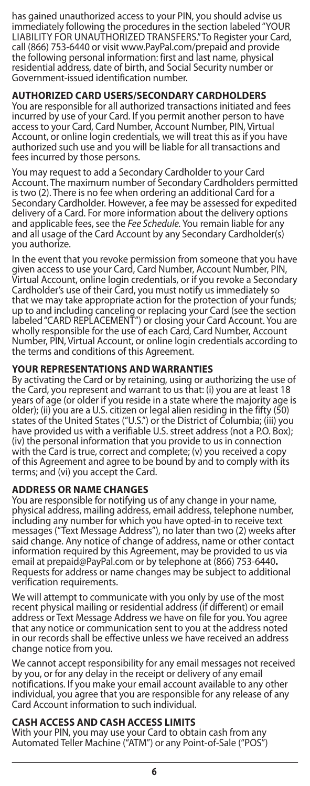has gained unauthorized access to your PIN, you should advise us immediately following the procedures in the section labeled "YOUR LIABILITY FOR UNAUTHORIZED TRANSFERS." To Register your Card, call (866) 753-6440 or visit www.PayPal.com/prepaid and provide the following personal information: first and last name, physical residential address, date of birth, and Social Security number or Government-issued identification number.

### **AUTHORIZED CARD USERS/SECONDARY CARDHOLDERS**

You are responsible for all authorized transactions initiated and fees incurred by use of your Card. If you permit another person to have access to your Card, Card Number, Account Number, PIN, Virtual Account, or online login credentials, we will treat this as if you have authorized such use and you will be liable for all transactions and fees incurred by those persons.

You may request to add a Secondary Cardholder to your Card Account. The maximum number of Secondary Cardholders permitted is two (2). There is no fee when ordering an additional Card for a Secondary Cardholder. However, a fee may be assessed for expedited delivery of a Card. For more information about the delivery options and applicable fees, see the *Fee Schedule.* You remain liable for any and all usage of the Card Account by any Secondary Cardholder(s) you authorize.

In the event that you revoke permission from someone that you have given access to use your Card, Card Number, Account Number, PIN, Virtual Account, online login credentials, or if you revoke a Secondary Cardholder's use of their Card, you must notify us immediately so that we may take appropriate action for the protection of your funds; up to and including canceling or replacing your Card (see the section labeled "CARD REPLACEMENT") or closing your Card Account. You are wholly responsible for the use of each Card, Card Number, Account Number, PIN, Virtual Account, or online login credentials according to the terms and conditions of this Agreement.

### **YOUR REPRESENTATIONS AND WARRANTIES**

By activating the Card or by retaining, using or authorizing the use of the Card, you represent and warrant to us that: (i) you are at least 18 years of age (or older if you reside in a state where the majority age is older); (ii) you are a U.S. citizen or legal alien residing in the fifty (50) states of the United States ("U.S.") or the District of Columbia; (iii) you have provided us with a verifiable U.S. street address (not a P.O. Box); (iv) the personal information that you provide to us in connection with the Card is true, correct and complete; (v) you received a copy of this Agreement and agree to be bound by and to comply with its terms; and (vi) you accept the Card.

#### **ADDRESS OR NAME CHANGES**

You are responsible for notifying us of any change in your name, physical address, mailing address, email address, telephone number, including any number for which you have opted-in to receive text messages ("Text Message Address"), no later than two (2) weeks after said change. Any notice of change of address, name or other contact information required by this Agreement, may be provided to us via email at prepaid@PayPal.com or by telephone at (866) 753-6440**.** Requests for address or name changes may be subject to additional verification requirements.

We will attempt to communicate with you only by use of the most recent physical mailing or residential address (if different) or email address or Text Message Address we have on file for you. You agree that any notice or communication sent to you at the address noted in our records shall be effective unless we have received an address change notice from you.

We cannot accept responsibility for any email messages not received by you, or for any delay in the receipt or delivery of any email notifications. If you make your email account available to any other individual, you agree that you are responsible for any release of any Card Account information to such individual.

### **CASH ACCESS AND CASH ACCESS LIMITS**

With your PIN, you may use your Card to obtain cash from any Automated Teller Machine ("ATM") or any Point-of-Sale ("POS")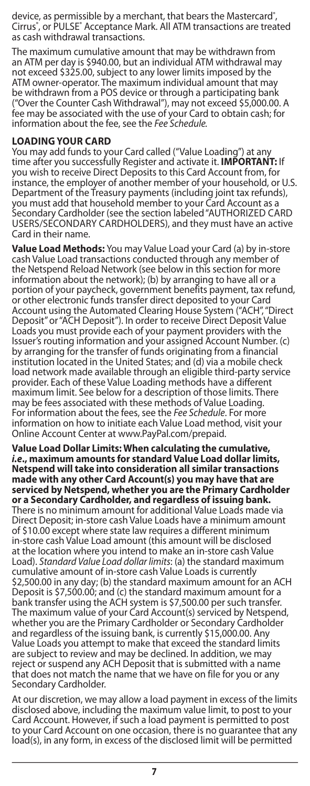device, as permissible by a merchant, that bears the Mastercard˚,<br>Cirrus˚, or PULSE˚ Acceptance Mark. All ATM transactions are treated as cash withdrawal transactions.

The maximum cumulative amount that may be withdrawn from an ATM per day is \$940.00, but an individual ATM withdrawal may not exceed \$325.00, subject to any lower limits imposed by the ATM owner-operator. The maximum individual amount that may be withdrawn from a POS device or through a participating bank ("Over the Counter Cash Withdrawal"), may not exceed \$5,000.00. A fee may be associated with the use of your Card to obtain cash; for information about the fee, see the *Fee Schedule.*

### **LOADING YOUR CARD**

You may add funds to your Card called ("Value Loading") at any time after you successfully Register and activate it. **IMPORTANT:** If you wish to receive Direct Deposits to this Card Account from, for instance, the employer of another member of your household, or U.S. Department of the Treasury payments (including joint tax refunds),<br>you must add that household member to your Card Account as a<br>Secondary Cardholder (see the section labeled "AUTHORIZED CARD<br>USERS/SECONDARY CARDHOLDERS), a Card in their name.

**Value Load Methods:** You may Value Load your Card (a) by in-store cash Value Load transactions conducted through any member of the Netspend Reload Network (see below in this section for more information about the network); (b) by arranging to have all or a portion of your paycheck, government benefits payment, tax refund, or other electronic funds transfer direct deposited to your Card Account using the Automated Clearing House System ("ACH", "Direct Deposit" or "ACH Deposit"). In order to receive Direct Deposit Value Loads you must provide each of your payment providers with the Issuer's routing information and your assigned Account Number. (c) by arranging for the transfer of funds originating from a financial institution located in the United States; and (d) via a mobile check load network made available through an eligible third-party service provider. Each of these Value Loading methods have a different maximum limit. See below for a description of those limits. There may be fees associated with these methods of Value Loading. For information about the fees, see the *Fee Schedule*. For more information on how to initiate each Value Load method, visit your Online Account Center at www.PayPal.com/prepaid.

**Value Load Dollar Limits: When calculating the cumulative,**  *i.e***., maximum amounts for standard Value Load dollar limits, Netspend will take into consideration all similar transactions made with any other Card Account(s) you may have that are serviced by Netspend, whether you are the Primary Cardholder or a Secondary Cardholder, and regardless of issuing bank.** There is no minimum amount for additional Value Loads made via Direct Deposit; in-store cash Value Loads have a minimum amount of \$10.00 except where state law requires a different minimum in-store cash Value Load amount (this amount will be disclosed at the location where you intend to make an in-store cash Value Load). *Standard Value Load dollar limits*: (a) the standard maximum cumulative amount of in-store cash Value Loads is currently \$2,500.00 in any day; (b) the standard maximum amount for an ACH Deposit is \$7,500.00; and (c) the standard maximum amount for a bank transfer using the ACH system is \$7,500.00 per such transfer. The maximum value of your Card Account(s) serviced by Netspend, whether you are the Primary Cardholder or Secondary Cardholder and regardless of the issuing bank, is currently \$15,000.00. Any Value Loads you attempt to make that exceed the standard limits are subject to review and may be declined. In addition, we may reject or suspend any ACH Deposit that is submitted with a name that does not match the name that we have on file for you or any Secondary Cardholder.

At our discretion, we may allow a load payment in excess of the limits disclosed above, including the maximum value limit, to post to your Card Account. However, if such a load payment is permitted to post to your Card Account on one occasion, there is no guarantee that any load(s), in any form, in excess of the disclosed limit will be permitted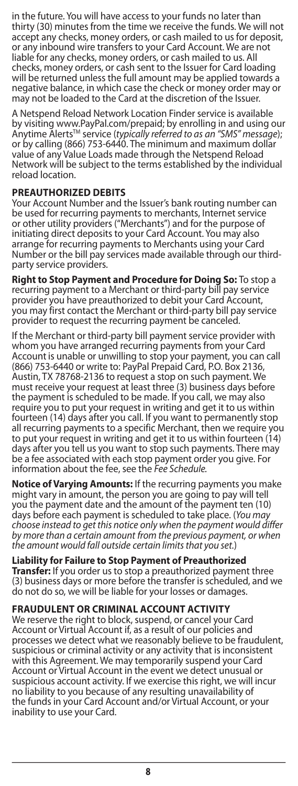in the future. You will have access to your funds no later than thirty (30) minutes from the time we receive the funds. We will not accept any checks, money orders, or cash mailed to us for deposit, or any inbound wire transfers to your Card Account. We are not liable for any checks, money orders, or cash mailed to us. All checks, money orders, or cash sent to the Issuer for Card loading will be returned unless the full amount may be applied towards a negative balance, in which case the check or money order may or may not be loaded to the Card at the discretion of the Issuer.

A Netspend Reload Network Location Finder service is available by visiting www.PayPal.com/prepaid; by enrolling in and using our<br>Anytime Alerts™ service (*typically referred to as an "SMS" message*); or by calling (866) 753-6440. The minimum and maximum dollar value of any Value Loads made through the Netspend Reload Network will be subject to the terms established by the individual reload location.

### **PREAUTHORIZED DEBITS**

Your Account Number and the Issuer's bank routing number can be used for recurring payments to merchants, Internet service or other utility providers ("Merchants") and for the purpose of initiating direct deposits to your Card Account. You may also arrange for recurring payments to Merchants using your Card Number or the bill pay services made available through our thirdparty service providers.

**Right to Stop Payment and Procedure for Doing So:** To stop a recurring payment to a Merchant or third-party bill pay service provider you have preauthorized to debit your Card Account, you may first contact the Merchant or third-party bill pay service provider to request the recurring payment be canceled.

If the Merchant or third-party bill payment service provider with whom you have arranged recurring payments from your Card Account is unable or unwilling to stop your payment, you can call (866) 753-6440 or write to: PayPal Prepaid Card, P.O. Box 2136, Austin, TX 78768-2136 to request a stop on such payment. We must receive your request at least three (3) business days before the payment is scheduled to be made. If you call, we may also require you to put your request in writing and get it to us within fourteen (14) days after you call. If you want to permanently stop all recurring payments to a specific Merchant, then we require you to put your request in writing and get it to us within fourteen (14) days after you tell us you want to stop such payments. There may be a fee associated with each stop payment order you give. For information about the fee, see the *Fee Schedule.*

**Notice of Varying Amounts:** If the recurring payments you make might vary in amount, the person you are going to pay will tell you the payment date and the amount of the payment ten (10) days before each payment is scheduled to take place. (*You may choose instead to get this notice only when the payment would differ by more than a certain amount from the previous payment, or when the amount would fall outside certain limits that you set.*)

**Liability for Failure to Stop Payment of Preauthorized Transfer:** If you order us to stop a preauthorized payment three (3) business days or more before the transfer is scheduled, and we do not do so, we will be liable for your losses or damages.

### **FRAUDULENT OR CRIMINAL ACCOUNT ACTIVITY**

We reserve the right to block, suspend, or cancel your Card Account or Virtual Account if, as a result of our policies and processes we detect what we reasonably believe to be fraudulent, suspicious or criminal activity or any activity that is inconsistent with this Agreement. We may temporarily suspend your Card Account or Virtual Account in the event we detect unusual or suspicious account activity. If we exercise this right, we will incur no liability to you because of any resulting unavailability of the funds in your Card Account and/or Virtual Account, or your inability to use your Card.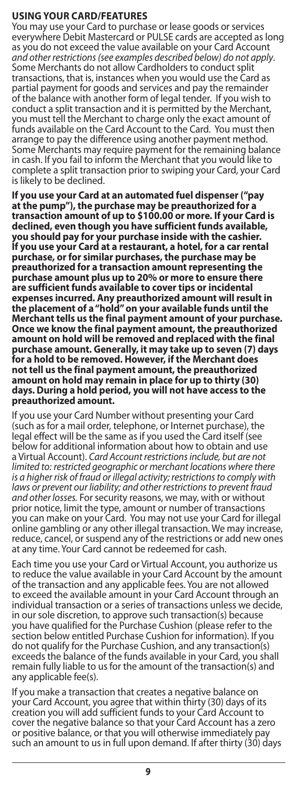### **USING YOUR CARD/FEATURES**

You may use your Card to purchase or lease goods or services everywhere Debit Mastercard or PULSE cards are accepted as long as you do not exceed the value available on your Card Account<br>and other restrictions (see examples described below) do not apply. *and other restrictions (see examples described below) do not apply.*<br>Some Merchants do not allow Cardholders to conduct split<br>transactions, that is, instances when you would use the Card as partial payment for goods and services and pay the remainder of the balance with another form of legal tender. If you wish to conduct a split transaction and it is permitted by the Merchant, you must tell the Merchant to charge only the exact amount of funds available on the Card Account to the Card. You must then arrange to pay the difference using another payment method. Some Merchants may require payment for the remaining balance in cash. If you fail to inform the Merchant that you would like to complete a split transaction prior to swiping your Card, your Card is likely to be declined.

**If you use your Card at an automated fuel dispenser ("pay at the pump"), the purchase may be preauthorized for a transaction amount of up to \$100.00 or more. If your Card is declined, even though you have sufficient funds available, you should pay for your purchase inside with the cashier. If you use your Card at a restaurant, a hotel, for a car rental purchase, or for similar purchases, the purchase may be preauthorized for a transaction amount representing the purchase amount plus up to 20% or more to ensure there are sufficient funds available to cover tips or incidental expenses incurred. Any preauthorized amount will result in the placement of a "hold" on your available funds until the Merchant tells us the final payment amount of your purchase. Once we know the final payment amount, the preauthorized amount on hold will be removed and replaced with the final purchase amount. Generally, it may take up to seven (7) days for a hold to be removed. However, if the Merchant does not tell us the final payment amount, the preauthorized amount on hold may remain in place for up to thirty (30) days. During a hold period, you will not have access to the preauthorized amount.**

If you use your Card Number without presenting your Card (such as for a mail order, telephone, or Internet purchase), the legal effect will be the same as if you used the Card itself (see below for additional information about how to obtain and use a Virtual Account). *Card Account restrictions include, but are not limited to: restricted geographic or merchant locations where there is a higher risk of fraud or illegal activity; restrictions to comply with laws or prevent our liability; and other restrictions to prevent fraud and other losses.* For security reasons, we may, with or without prior notice, limit the type, amount or number of transactions you can make on your Card. You may not use your Card for illegal online gambling or any other illegal transaction. We may increase, reduce, cancel, or suspend any of the restrictions or add new ones at any time. Your Card cannot be redeemed for cash.

Each time you use your Card or Virtual Account, you authorize us to reduce the value available in your Card Account by the amount of the transaction and any applicable fees. You are not allowed to exceed the available amount in your Card Account through an individual transaction or a series of transactions unless we decide, in our sole discretion, to approve such transaction(s) because you have qualified for the Purchase Cushion (please refer to the section below entitled Purchase Cushion for information). If you do not qualify for the Purchase Cushion, and any transaction(s) exceeds the balance of the funds available in your Card, you shall remain fully liable to us for the amount of the transaction(s) and any applicable fee(s).

If you make a transaction that creates a negative balance on your Card Account, you agree that within thirty (30) days of its creation you will add sufficient funds to your Card Account to cover the negative balance so that your Card Account has a zero or positive balance, or that you will otherwise immediately pay such an amount to us in full upon demand. If after thirty (30) days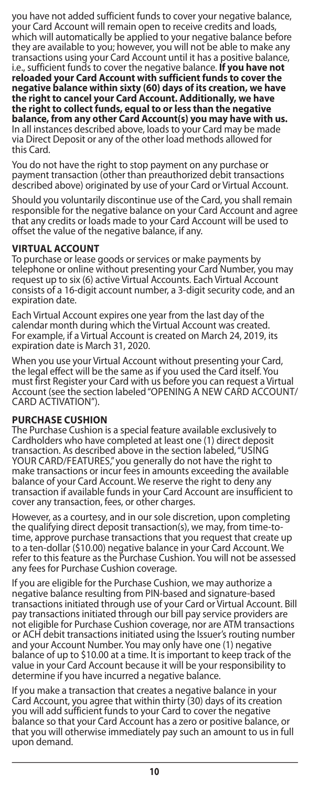you have not added sufficient funds to cover your negative balance, your Card Account will remain open to receive credits and loads, which will automatically be applied to your negative balance before they are available to you; however, you will not be able to make any transactions using your Card Account until it has a positive balance, i.e., sufficient funds to cover the negative balance. **If you have not**  reloaded your Card Account with sufficient funds to cover the<br>negative balance within sixty (60) days of its creation, we have<br>the right to cancel your Card Account. Additionally, we have<br>the right to collect funds, equal In all instances described above, loads to your Card may be made via Direct Deposit or any of the other load methods allowed for this Card.

You do not have the right to stop payment on any purchase or payment transaction (other than preauthorized debit transactions described above) originated by use of your Card or Virtual Account.

Should you voluntarily discontinue use of the Card, you shall remain responsible for the negative balance on your Card Account and agree that any credits or loads made to your Card Account will be used to offset the value of the negative balance, if any.

# **VIRTUAL ACCOUNT**

To purchase or lease goods or services or make payments by telephone or online without presenting your Card Number, you may request up to six (6) active Virtual Accounts. Each Virtual Account consists of a 16-digit account number, a 3-digit security code, and an expiration date.

Each Virtual Account expires one year from the last day of the calendar month during which the Virtual Account was created. For example, if a Virtual Account is created on March 24, 2019, its expiration date is March 31, 2020.

When you use your Virtual Account without presenting your Card, the legal effect will be the same as if you used the Card itself. You must first Register your Card with us before you can request a Virtual Account (see the section labeled "OPENING A NEW CARD ACCOUNT/ CARD ACTIVATION").

### **PURCHASE CUSHION**

The Purchase Cushion is a special feature available exclusively to Cardholders who have completed at least one (1) direct deposit transaction. As described above in the section labeled, "USING YOUR CARD/FEATURES," you generally do not have the right to make transactions or incur fees in amounts exceeding the available balance of your Card Account. We reserve the right to deny any transaction if available funds in your Card Account are insufficient to cover any transaction, fees, or other charges.

However, as a courtesy, and in our sole discretion, upon completing the qualifying direct deposit transaction(s), we may, from time-totime, approve purchase transactions that you request that create up to a ten-dollar (\$10.00) negative balance in your Card Account. We refer to this feature as the Purchase Cushion. You will not be assessed any fees for Purchase Cushion coverage.

If you are eligible for the Purchase Cushion, we may authorize a negative balance resulting from PIN-based and signature-based transactions initiated through use of your Card or Virtual Account. Bill pay transactions initiated through our bill pay service providers are not eligible for Purchase Cushion coverage, nor are ATM transactions or ACH debit transactions initiated using the Issuer's routing number and your Account Number. You may only have one (1) negative balance of up to \$10.00 at a time. It is important to keep track of the value in your Card Account because it will be your responsibility to determine if you have incurred a negative balance.

If you make a transaction that creates a negative balance in your Card Account, you agree that within thirty (30) days of its creation you will add sufficient funds to your Card to cover the negative balance so that your Card Account has a zero or positive balance, or that you will otherwise immediately pay such an amount to us in full upon demand.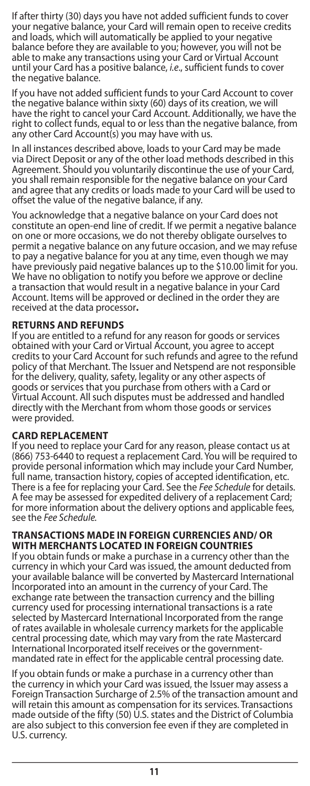If after thirty (30) days you have not added sufficient funds to cover your negative balance, your Card will remain open to receive credits and loads, which will automatically be applied to your negative balance before they are available to you; however, you will not be able to make any transactions using your Card or Virtual Account until your Card has a positive balance, *i.e*., sufficient funds to cover the negative balance.

If you have not added sufficient funds to your Card Account to cover the negative balance within sixty (60) days of its creation, we will have the right to cancel your Card Account. Additionally, we have the right to collect funds, equal to or less than the negative balance, from any other Card Account(s) you may have with us.

In all instances described above, loads to your Card may be made via Direct Deposit or any of the other load methods described in this Agreement. Should you voluntarily discontinue the use of your Card, you shall remain responsible for the negative balance on your Card and agree that any credits or loads made to your Card will be used to offset the value of the negative balance, if any.

You acknowledge that a negative balance on your Card does not constitute an open-end line of credit. If we permit a negative balance on one or more occasions, we do not thereby obligate ourselves to permit a negative balance on any future occasion, and we may refuse to pay a negative balance for you at any time, even though we may have previously paid negative balances up to the \$10.00 limit for you. We have no obligation to notify you before we approve or decline a transaction that would result in a negative balance in your Card Account. Items will be approved or declined in the order they are received at the data processor**.**

### **RETURNS AND REFUNDS**

If you are entitled to a refund for any reason for goods or services obtained with your Card or Virtual Account, you agree to accept credits to your Card Account for such refunds and agree to the refund policy of that Merchant. The Issuer and Netspend are not responsible for the delivery, quality, safety, legality or any other aspects of goods or services that you purchase from others with a Card or Virtual Account. All such disputes must be addressed and handled directly with the Merchant from whom those goods or services were provided.

#### **CARD REPLACEMENT**

If you need to replace your Card for any reason, please contact us at (866) 753-6440 to request a replacement Card. You will be required to provide personal information which may include your Card Number,<br>full name, transaction history, copies of accepted identification, etc.<br>There is a fee for replacing your Card. See the *Fee Schedule* for details. A fee may be assessed for expedited delivery of a replacement Card; for more information about the delivery options and applicable fees, see the *Fee Schedule.*

#### **TRANSACTIONS MADE IN FOREIGN CURRENCIES AND/ OR WITH MERCHANTS LOCATED IN FOREIGN COUNTRIES**

If you obtain funds or make a purchase in a currency other than the currency in which your Card was issued, the amount deducted from your available balance will be converted by Mastercard International Incorporated into an amount in the currency of your Card. The exchange rate between the transaction currency and the billing currency used for processing international transactions is a rate selected by Mastercard International Incorporated from the range of rates available in wholesale currency markets for the applicable central processing date, which may vary from the rate Mastercard International Incorporated itself receives or the governmentmandated rate in effect for the applicable central processing date.

If you obtain funds or make a purchase in a currency other than the currency in which your Card was issued, the Issuer may assess a Foreign Transaction Surcharge of 2.5% of the transaction amount and will retain this amount as compensation for its services. Transactions made outside of the fifty (50) U.S. states and the District of Columbia are also subject to this conversion fee even if they are completed in U.S. currency.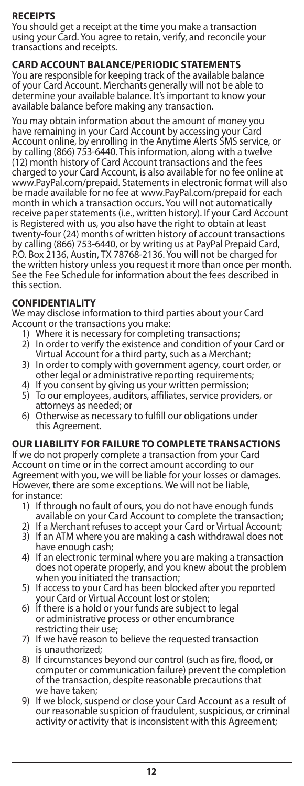# **RECEIPTS**

You should get a receipt at the time you make a transaction using your Card. You agree to retain, verify, and reconcile your transactions and receipts.

# **CARD ACCOUNT BALANCE/PERIODIC STATEMENTS**

You are responsible for keeping track of the available balance of your Card Account. Merchants generally will not be able to determine your available balance. It's important to know your available balance before making any transaction.

You may obtain information about the amount of money you have remaining in your Card Account by accessing your Card Account online, by enrolling in the Anytime Alerts SMS service, or by calling (866) 753-6440. This information, along with a twelve (12) month history of Card Account transactions and the fees charged to your Card Account, is also available for no fee online at www.PayPal.com/prepaid. Statements in electronic format will also be made available for no fee at www.PayPal.com/prepaid for each month in which a transaction occurs. You will not automatically receive paper statements (i.e., written history). If your Card Account is Registered with us, you also have the right to obtain at least twenty-four (24) months of written history of account transactions by calling (866) 753-6440, or by writing us at PayPal Prepaid Card, P.O. Box 2136, Austin, TX 78768-2136. You will not be charged for the written history unless you request it more than once per month. See the Fee Schedule for information about the fees described in this section.

# **CONFIDENTIALITY**

We may disclose information to third parties about your Card Account or the transactions you make:

- 1) Where it is necessary for completing transactions;
- 2) In order to verify the existence and condition of your Card or Virtual Account for a third party, such as a Merchant;
- 3) In order to comply with government agency, court order, or other legal or administrative reporting requirements;
- 4) If you consent by giving us your written permission;
- 5) To our employees, auditors, affiliates, service providers, or attorneys as needed; or
- 6) Otherwise as necessary to fulfill our obligations under this Agreement.

### **OUR LIABILITY FOR FAILURE TO COMPLETE TRANSACTIONS**

If we do not properly complete a transaction from your Card Account on time or in the correct amount according to our Agreement with you, we will be liable for your losses or damages. However, there are some exceptions. We will not be liable, for instance:

- 1) If through no fault of ours, you do not have enough funds available on your Card Account to complete the transaction;
- 2) If a Merchant refuses to accept your Card or Virtual Account;
- 3) If an ATM where you are making a cash withdrawal does not have enough cash;
- 4) If an electronic terminal where you are making a transaction does not operate properly, and you knew about the problem when you initiated the transaction;
- 5) If access to your Card has been blocked after you reported your Card or Virtual Account lost or stolen;
- 6) If there is a hold or your funds are subject to legal or administrative process or other encumbrance restricting their use;
- 7) If we have reason to believe the requested transaction is unauthorized;
- 8) If circumstances beyond our control (such as fire, flood, or computer or communication failure) prevent the completion of the transaction, despite reasonable precautions that we have taken;
- 9) If we block, suspend or close your Card Account as a result of our reasonable suspicion of fraudulent, suspicious, or criminal activity or activity that is inconsistent with this Agreement;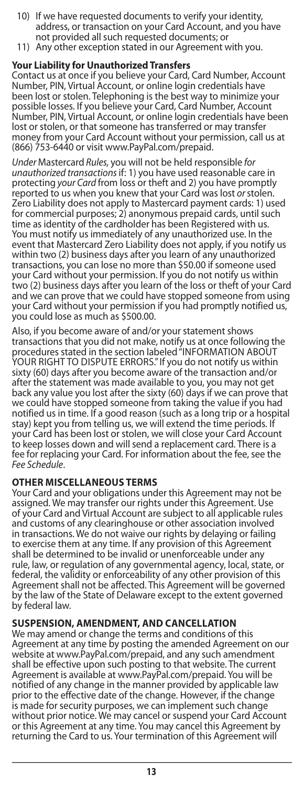- 10) If we have requested documents to verify your identity, address, or transaction on your Card Account, and you have not provided all such requested documents; or
- 11) Any other exception stated in our Agreement with you.

## **Your Liability for Unauthorized Transfers**

Contact us at once if you believe your Card, Card Number, Account Number, PIN, Virtual Account, or online login credentials have been lost or stolen. Telephoning is the best way to minimize your possible losses. If you believe your Card, Card Number, Account Number, PIN, Virtual Account, or online login credentials have been lost or stolen, or that someone has transferred or may transfer money from your Card Account without your permission, call us at (866) 753-6440 or visit www.PayPal.com/prepaid.

*Under* Mastercard *Rules,* you will not be held responsible *for unauthorized transactions* if: 1) you have used reasonable care in protecting *your Card* from loss or theft and 2) you have promptly reported to us when you knew that your Card was lost *or* stolen. Zero Liability does not apply to Mastercard payment cards: 1) used for commercial purposes; 2) anonymous prepaid cards, until such time as identity of the cardholder has been Registered with us. You must notify us immediately of any unauthorized use. In the event that Mastercard Zero Liability does not apply, if you notify us within two (2) business days after you learn of any unauthorized transactions, you can lose no more than \$50.00 if someone used your Card without your permission. If you do not notify us within two (2) business days after you learn of the loss or theft of your Card and we can prove that we could have stopped someone from using your Card without your permission if you had promptly notified us, you could lose as much as \$500.00.

Also, if you become aware of and/or your statement shows transactions that you did not make, notify us at once following the procedures stated in the section labeled "INFORMATION ABOUT YOUR RIGHT TO DISPUTE ERRORS." If you do not notify us within sixty (60) days after you become aware of the transaction and/or after the statement was made available to you, you may not get back any value you lost after the sixty (60) days if we can prove that we could have stopped someone from taking the value if you had notified us in time. If a good reason (such as a long trip or a hospital stay) kept you from telling us, we will extend the time periods. If your Card has been lost or stolen, we will close your Card Account to keep losses down and will send a replacement card. There is a fee for replacing your Card. For information about the fee, see the *Fee Schedule*.

### **OTHER MISCELLANEOUS TERMS**

Your Card and your obligations under this Agreement may not be assigned. We may transfer our rights under this Agreement. Use of your Card and Virtual Account are subject to all applicable rules and customs of any clearinghouse or other association involved in transactions. We do not waive our rights by delaying or failing to exercise them at any time. If any provision of this Agreement shall be determined to be invalid or unenforceable under any rule, law, or regulation of any governmental agency, local, state, or federal, the validity or enforceability of any other provision of this Agreement shall not be affected. This Agreement will be governed by the law of the State of Delaware except to the extent governed by federal law.

### **SUSPENSION, AMENDMENT, AND CANCELLATION**

We may amend or change the terms and conditions of this Agreement at any time by posting the amended Agreement on our website at www.PayPal.com/prepaid, and any such amendment shall be effective upon such posting to that website. The current Agreement is available at www.PayPal.com/prepaid. You will be notified of any change in the manner provided by applicable law prior to the effective date of the change. However, if the change is made for security purposes, we can implement such change without prior notice. We may cancel or suspend your Card Account or this Agreement at any time. You may cancel this Agreement by returning the Card to us. Your termination of this Agreement will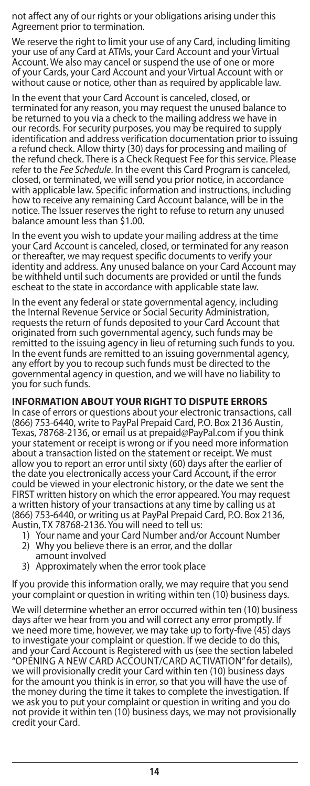not affect any of our rights or your obligations arising under this Agreement prior to termination.

We reserve the right to limit your use of any Card, including limiting your use of any Card at ATMs, your Card Account and your Virtual Account. We also may cancel or suspend the use of one or more of your Cards, your Card Account and your Virtual Account with or without cause or notice, other than as required by applicable law.

In the event that your Card Account is canceled, closed, or terminated for any reason, you may request the unused balance to be returned to you via a check to the mailing address we have in our records. For security purposes, you may be required to supply identification and address verification documentation prior to issuing a refund check. Allow thirty (30) days for processing and mailing of the refund check. There is a Check Request Fee for this service. Please refer to the *Fee Schedule*. In the event this Card Program is canceled, closed, or terminated, we will send you prior notice, in accordance with applicable law. Specific information and instructions, including how to receive any remaining Card Account balance, will be in the notice. The Issuer reserves the right to refuse to return any unused balance amount less than \$1.00.

In the event you wish to update your mailing address at the time your Card Account is canceled, closed, or terminated for any reason or thereafter, we may request specific documents to verify your identity and address. Any unused balance on your Card Account may be withheld until such documents are provided or until the funds escheat to the state in accordance with applicable state law.

In the event any federal or state governmental agency, including the Internal Revenue Service or Social Security Administration, requests the return of funds deposited to your Card Account that originated from such governmental agency, such funds may be remitted to the issuing agency in lieu of returning such funds to you. In the event funds are remitted to an issuing governmental agency, any effort by you to recoup such funds must be directed to the governmental agency in question, and we will have no liability to you for such funds.

### **INFORMATION ABOUT YOUR RIGHT TO DISPUTE ERRORS**

In case of errors or questions about your electronic transactions, call (866) 753-6440, write to PayPal Prepaid Card, P.O. Box 2136 Austin, Texas, 78768-2136, or email us at prepaid@PayPal.com if you think your statement or receipt is wrong or if you need more information about a transaction listed on the statement or receipt. We must allow you to report an error until sixty (60) days after the earlier of the date you electronically access your Card Account, if the error could be viewed in your electronic history, or the date we sent the FIRST written history on which the error appeared. You may request a written history of your transactions at any time by calling us at (866) 753-6440, or writing us at PayPal Prepaid Card, P.O. Box 2136, Austin, TX 78768-2136. You will need to tell us:

- 1) Your name and your Card Number and/or Account Number 2) Why you believe there is an error, and the dollar
- amount involved
- 3) Approximately when the error took place

If you provide this information orally, we may require that you send your complaint or question in writing within ten (10) business days.

We will determine whether an error occurred within ten (10) business days after we hear from you and will correct any error promptly. If we need more time, however, we may take up to forty-five (45) days to investigate your complaint or question. If we decide to do this, and your Card Account is Registered with us (see the section labeled "OPENING A NEW CARD ACCOUNT/CARD ACTIVATION" for details), we will provisionally credit your Card within ten (10) business days for the amount you think is in error, so that you will have the use of the money during the time it takes to complete the investigation. If we ask you to put your complaint or question in writing and you do not provide it within ten (10) business days, we may not provisionally credit your Card.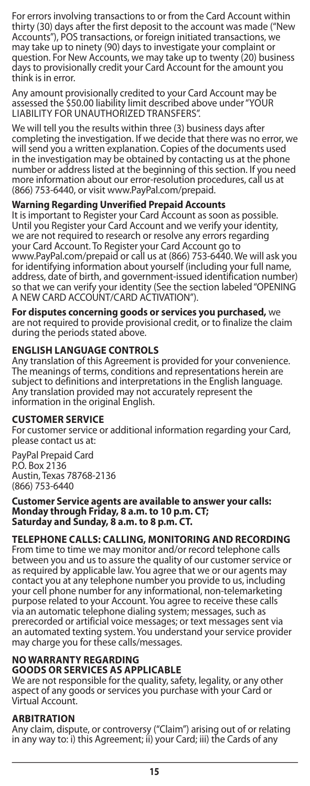For errors involving transactions to or from the Card Account within thirty (30) days after the first deposit to the account was made ("New Accounts"), POS transactions, or foreign initiated transactions, we may take up to ninety (90) days to investigate your complaint or question. For New Accounts, we may take up to twenty (20) business days to provisionally credit your Card Account for the amount you think is in error.

Any amount provisionally credited to your Card Account may be assessed the \$50.00 liability limit described above under "YOUR LIABILITY FOR UNAUTHORIZED TRANSFERS'

We will tell you the results within three (3) business days after completing the investigation. If we decide that there was no error, we will send you a written explanation. Copies of the documents used in the investigation may be obtained by contacting us at the phone number or address listed at the beginning of this section. If you need more information about our error-resolution procedures, call us at (866) 753-6440, or visit www.PayPal.com/prepaid.

### **Warning Regarding Unverified Prepaid Accounts**

It is important to Register your Card Account as soon as possible. Until you Register your Card Account and we verify your identity, we are not required to research or resolve any errors regarding your Card Account. To Register your Card Account go to www.PayPal.com/prepaid or call us at (866) 753-6440. We will ask you for identifying information about yourself (including your full name, address, date of birth, and government-issued identification number) so that we can verify your identity (See the section labeled "OPENING A NEW CARD ACCOUNT/CARD ACTIVATION").

**For disputes concerning goods or services you purchased,** we are not required to provide provisional credit, or to finalize the claim during the periods stated above.

### **ENGLISH LANGUAGE CONTROLS**

Any translation of this Agreement is provided for your convenience. The meanings of terms, conditions and representations herein are subject to definitions and interpretations in the English language. Any translation provided may not accurately represent the information in the original English.

### **CUSTOMER SERVICE**

For customer service or additional information regarding your Card, please contact us at:

PayPal Prepaid Card P.O. Box 2136 Austin, Texas 78768-2136 (866) 753-6440

**Customer Service agents are available to answer your calls: Monday through Friday, 8 a.m. to 10 p.m. CT; Saturday and Sunday, 8 a.m. to 8 p.m. CT.**

### **TELEPHONE CALLS: CALLING, MONITORING AND RECORDING**

From time to time we may monitor and/or record telephone calls between you and us to assure the quality of our customer service or as required by applicable law. You agree that we or our agents may contact you at any telephone number you provide to us, including your cell phone number for any informational, non-telemarketing purpose related to your Account. You agree to receive these calls via an automatic telephone dialing system; messages, such as prerecorded or artificial voice messages; or text messages sent via an automated texting system. You understand your service provider may charge you for these calls/messages.

#### **NO WARRANTY REGARDING GOODS OR SERVICES AS APPLICABLE**

We are not responsible for the quality, safety, legality, or any other aspect of any goods or services you purchase with your Card or Virtual Account.

### **ARBITRATION**

Any claim, dispute, or controversy ("Claim") arising out of or relating in any way to: i) this Agreement; ii) your Card; iii) the Cards of any